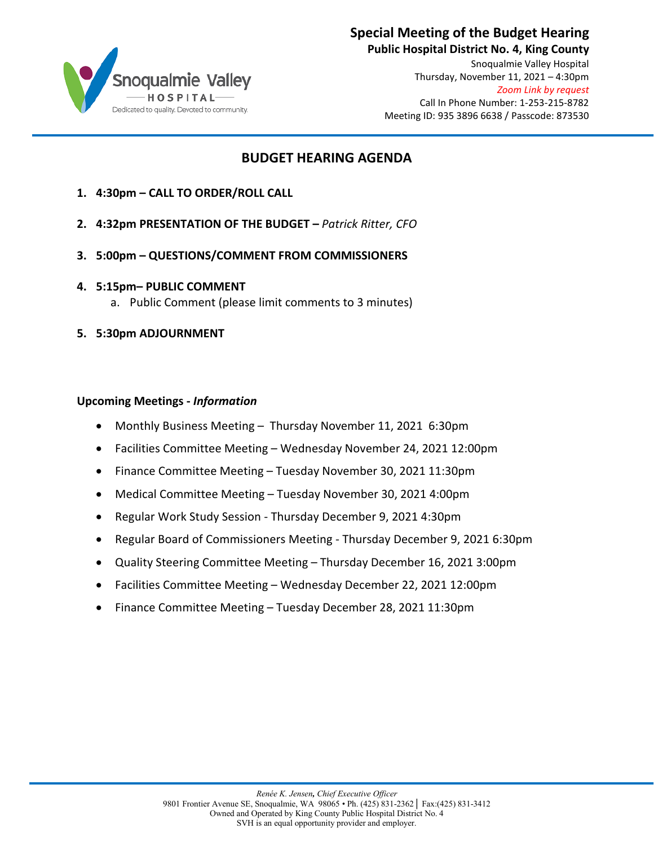

#### **Special Meeting of the Budget Hearing**

**Public Hospital District No. 4, King County** Snoqualmie Valley Hospital Thursday, November 11, 2021 – 4:30pm *Zoom Link by request* Call In Phone Number: 1-253-215-8782 Meeting ID: 935 3896 6638 / Passcode: 873530

#### **BUDGET HEARING AGENDA**

- **1. 4:30pm CALL TO ORDER/ROLL CALL**
- **2. 4:32pm PRESENTATION OF THE BUDGET** *Patrick Ritter, CFO*
- **3. 5:00pm QUESTIONS/COMMENT FROM COMMISSIONERS**
- **4. 5:15pm– PUBLIC COMMENT**
	- a. Public Comment (please limit comments to 3 minutes)
- **5. 5:30pm ADJOURNMENT**

#### **Upcoming Meetings -** *Information*

- Monthly Business Meeting Thursday November 11, 2021 6:30pm
- Facilities Committee Meeting Wednesday November 24, 2021 12:00pm
- Finance Committee Meeting Tuesday November 30, 2021 11:30pm
- Medical Committee Meeting Tuesday November 30, 2021 4:00pm
- Regular Work Study Session Thursday December 9, 2021 4:30pm
- Regular Board of Commissioners Meeting Thursday December 9, 2021 6:30pm
- Quality Steering Committee Meeting Thursday December 16, 2021 3:00pm
- Facilities Committee Meeting Wednesday December 22, 2021 12:00pm
- Finance Committee Meeting Tuesday December 28, 2021 11:30pm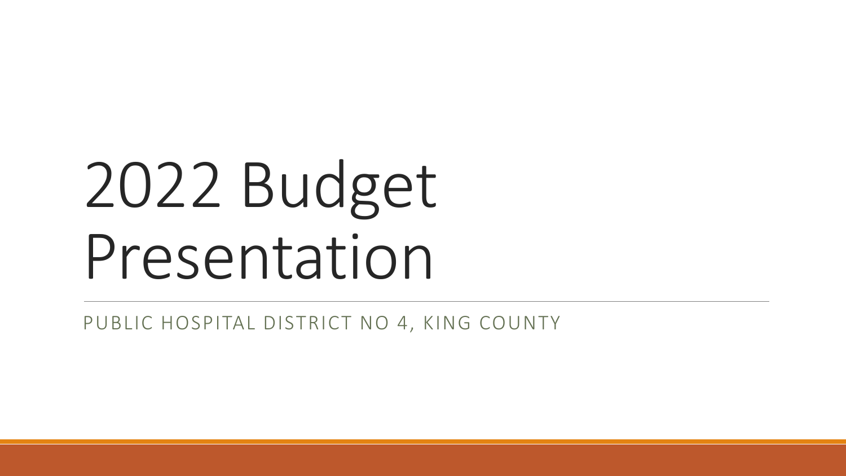# 2022 Budget Presentation

PUBLIC HOSPITAL DISTRICT NO 4, KING COUNTY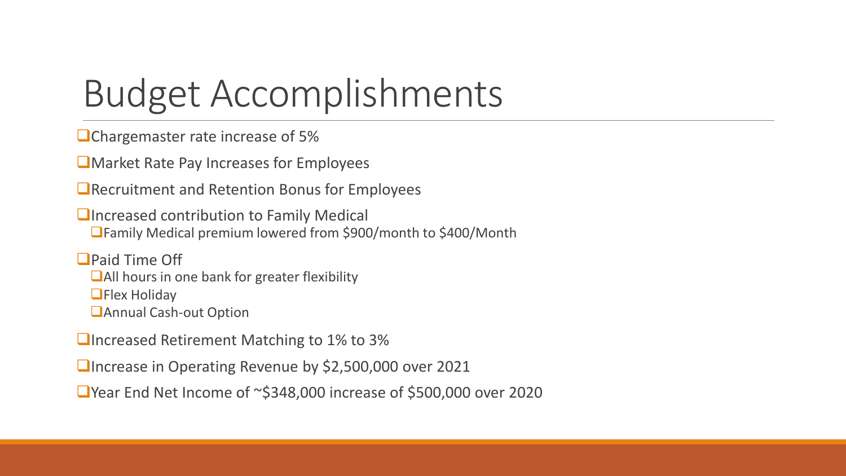# Budget Accomplishments

**O**Chargemaster rate increase of 5%

**L** Market Rate Pay Increases for Employees

**E** Recruitment and Retention Bonus for Employees

**<u>Elncreased contribution to Family Medical</u>** Family Medical premium lowered from \$900/month to \$400/Month

**OPaid Time Off** 

■All hours in one bank for greater flexibility

**OFlex Holiday** 

**<u></u>Annual Cash-out Option** 

■Increased Retirement Matching to 1% to 3%

■Increase in Operating Revenue by \$2,500,000 over 2021

■ Year End Net Income of ~\$348,000 increase of \$500,000 over 2020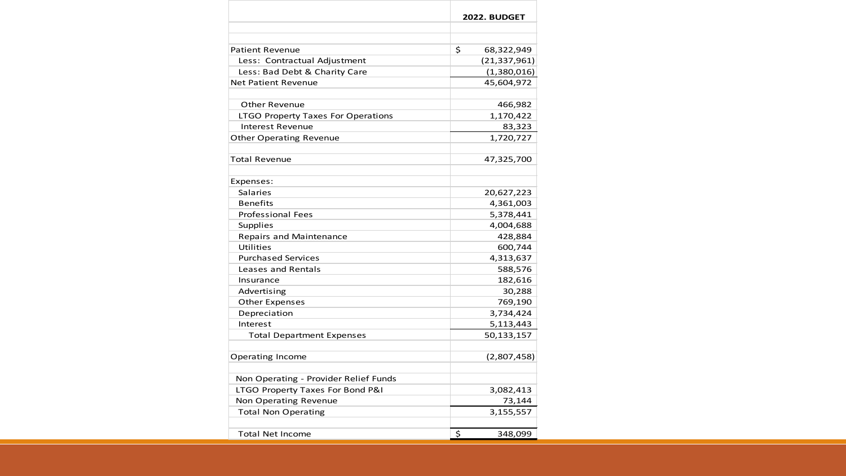|                                           | 2022. BUDGET     |
|-------------------------------------------|------------------|
|                                           |                  |
| <b>Patient Revenue</b>                    | \$<br>68,322,949 |
| Less: Contractual Adjustment              | (21, 337, 961)   |
| Less: Bad Debt & Charity Care             | (1,380,016)      |
| <b>Net Patient Revenue</b>                | 45,604,972       |
|                                           |                  |
| Other Revenue                             | 466,982          |
| <b>LTGO Property Taxes For Operations</b> | 1,170,422        |
| <b>Interest Revenue</b>                   | 83,323           |
| <b>Other Operating Revenue</b>            | 1,720,727        |
|                                           |                  |
| Total Revenue                             | 47,325,700       |
| Expenses:                                 |                  |
| <b>Salaries</b>                           | 20,627,223       |
| <b>Benefits</b>                           | 4,361,003        |
| <b>Professional Fees</b>                  | 5,378,441        |
| <b>Supplies</b>                           | 4,004,688        |
| Repairs and Maintenance                   | 428,884          |
| Utilities                                 | 600,744          |
| <b>Purchased Services</b>                 | 4,313,637        |
| Leases and Rentals                        | 588,576          |
| Insurance                                 | 182,616          |
| Advertising                               | 30,288           |
| <b>Other Expenses</b>                     | 769,190          |
| Depreciation                              | 3,734,424        |
| Interest                                  | 5,113,443        |
| <b>Total Department Expenses</b>          | 50,133,157       |
| <b>Operating Income</b>                   | (2,807,458)      |
| Non Operating - Provider Relief Funds     |                  |
| LTGO Property Taxes For Bond P&I          | 3,082,413        |
| Non Operating Revenue                     | 73,144           |
| <b>Total Non Operating</b>                | 3,155,557        |
| <b>Total Net Income</b>                   | \$<br>348,099    |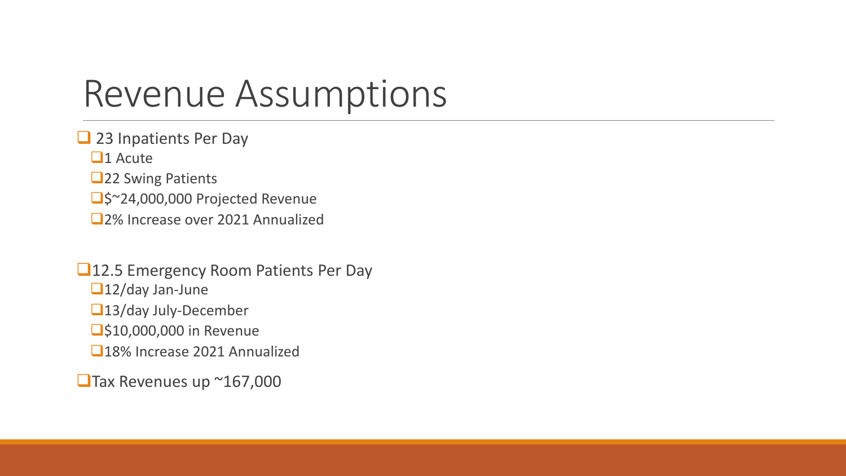### Revenue Assumptions

23 Inpatients Per Day

 $\Box$ 1 Acute

**22 Swing Patients** 

□\$~24,000,000 Projected Revenue

2% Increase over 2021 Annualized

■12.5 Emergency Room Patients Per Day ■12/day Jan-June ■13/day July-December **310,000,000 in Revenue** 18% Increase 2021 Annualized

■Tax Revenues up ~167,000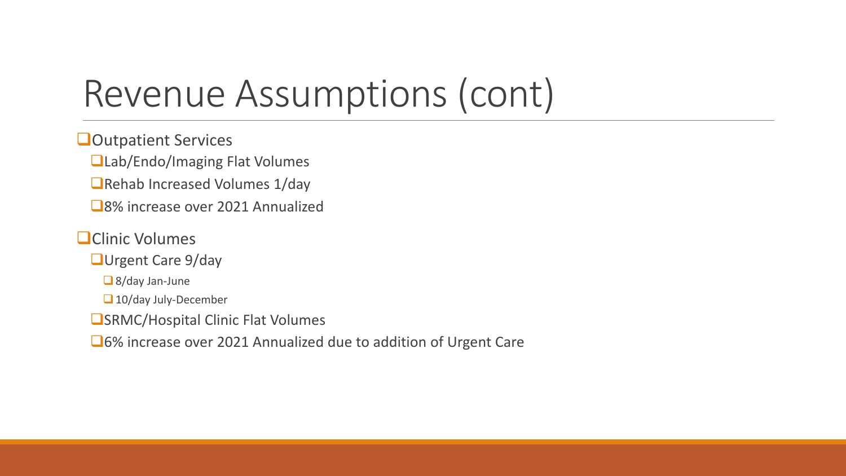## Revenue Assumptions (cont)

**Outpatient Services** 

■Lab/Endo/Imaging Flat Volumes

■Rehab Increased Volumes 1/day

■8% increase over 2021 Annualized

### **OClinic Volumes**

**QUrgent Care 9/day** 

■ 8/day Jan-June

10/day July-December

**OSRMC/Hospital Clinic Flat Volumes** 

6% increase over 2021 Annualized due to addition of Urgent Care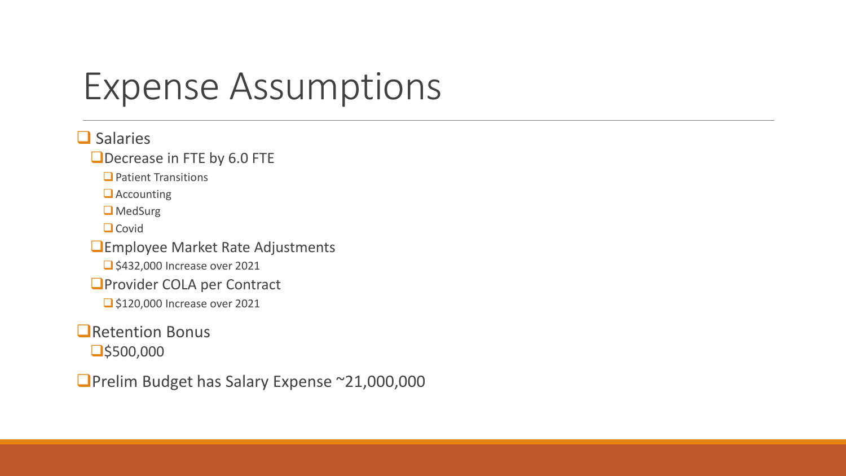### Expense Assumptions

### $\Box$  Salaries

#### Decrease in FTE by 6.0 FTE

 $\Box$  Patient Transitions

**Accounting** 

**O** MedSurg

 $\Box$  Covid

**Employee Market Rate Adjustments** 

S432,000 Increase over 2021

**O**Provider COLA per Contract

S120,000 Increase over 2021

#### **O**Retention Bonus

 $\Box$ \$500,000

■Prelim Budget has Salary Expense ~21,000,000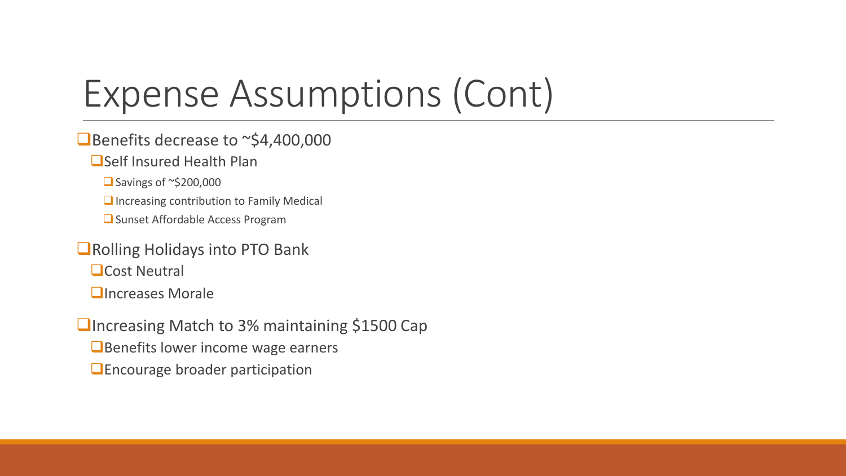# Expense Assumptions (Cont)

### ■Benefits decrease to ~\$4,400,000

### ■Self Insured Health Plan

 $\Box$  Savings of ~\$200,000

 $\Box$  Increasing contribution to Family Medical

**■** Sunset Affordable Access Program

### ■Rolling Holidays into PTO Bank

**O**Cost Neutral

**<u>OIncreases</u>** Morale

■Increasing Match to 3% maintaining \$1500 Cap **E** Benefits lower income wage earners **Encourage broader participation**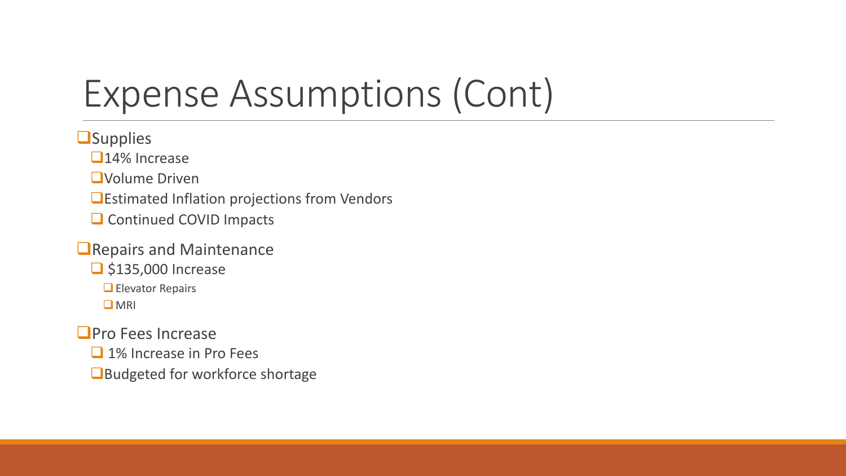# Expense Assumptions (Cont)

**O**Supplies

□14% Increase

**QVolume Driven** 

**Estimated Inflation projections from Vendors** 

Continued COVID Impacts

**O** Repairs and Maintenance

**S**135,000 Increase

**Elevator Repairs** 

**O** MRI

**O**Pro Fees Increase

□ 1% Increase in Pro Fees

Budgeted for workforce shortage